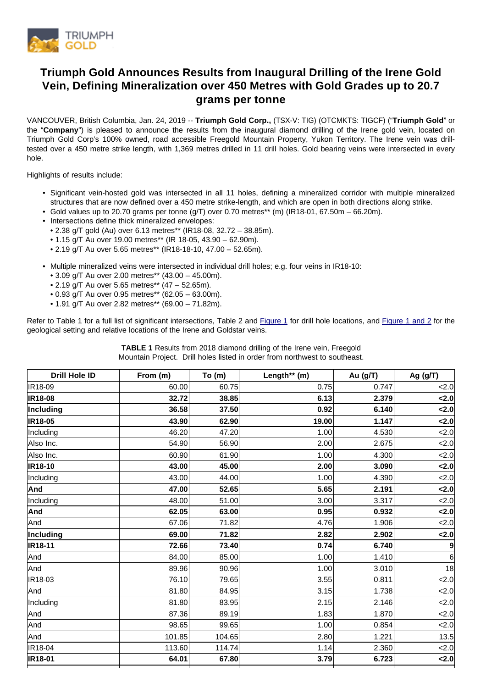

# **Triumph Gold Announces Results from Inaugural Drilling of the Irene Gold Vein, Defining Mineralization over 450 Metres with Gold Grades up to 20.7 grams per tonne**

VANCOUVER, British Columbia, Jan. 24, 2019 -- **Triumph Gold Corp.,** (TSX-V: TIG) (OTCMKTS: TIGCF) ("**Triumph Gold**" or the "**Company**") is pleased to announce the results from the inaugural diamond drilling of the Irene gold vein, located on Triumph Gold Corp's 100% owned, road accessible Freegold Mountain Property, Yukon Territory. The Irene vein was drilltested over a 450 metre strike length, with 1,369 metres drilled in 11 drill holes. Gold bearing veins were intersected in every hole.

Highlights of results include:

- Significant vein-hosted gold was intersected in all 11 holes, defining a mineralized corridor with multiple mineralized structures that are now defined over a 450 metre strike-length, and which are open in both directions along strike.
- Gold values up to 20.70 grams per tonne  $(q/T)$  over 0.70 metres\*\* (m) (IR18-01, 67.50m 66.20m).
- Intersections define thick mineralized envelopes:
	- 2.38 g/T gold (Au) over 6.13 metres\*\* (IR18-08, 32.72 38.85m).
	- 1.15 g/T Au over 19.00 metres\*\* (IR 18-05, 43.90 62.90m).
	- 2.19 g/T Au over 5.65 metres\*\* (IR18-18-10, 47.00 52.65m).
- Multiple mineralized veins were intersected in individual drill holes; e.g. four veins in IR18-10:
	- 3.09 g/T Au over 2.00 metres\*\* (43.00 45.00m).
	- 2.19 g/T Au over 5.65 metres\*\* (47 52.65m).
	- 0.93 g/T Au over 0.95 metres\*\* (62.05 63.00m).
	- 1.91 g/T Au over 2.82 metres\*\* (69.00 71.82m).

Refer to Table 1 for a full list of significant intersections, Table 2 and [Figure 1](https://www.triumphgoldcorp.com/wp-content/uploads/PR19-02_Irene_Maps.pdf) for drill hole locations, and [Figure 1 and 2](https://www.triumphgoldcorp.com/wp-content/uploads/PR19-02_Irene_Maps.pdf) for the geological setting and relative locations of the Irene and Goldstar veins.

> **TABLE 1** Results from 2018 diamond drilling of the Irene vein, Freegold Mountain Project. Drill holes listed in order from northwest to southeast.

| <b>Drill Hole ID</b> | From (m) | To $(m)$ | Length** (m) | Au (g/T) | Ag $(g/T)$ |
|----------------------|----------|----------|--------------|----------|------------|
| IR18-09              | 60.00    | 60.75    | 0.75         | 0.747    | 2.0        |
| <b>IR18-08</b>       | 32.72    | 38.85    | 6.13         | 2.379    | 2.0        |
| Including            | 36.58    | 37.50    | 0.92         | 6.140    | 2.0        |
| IR18-05              | 43.90    | 62.90    | 19.00        | 1.147    | 2.0        |
| Including            | 46.20    | 47.20    | 1.00         | 4.530    | 2.0        |
| Also Inc.            | 54.90    | 56.90    | 2.00         | 2.675    | 2.0        |
| Also Inc.            | 60.90    | 61.90    | 1.00         | 4.300    | 2.0        |
| IR18-10              | 43.00    | 45.00    | 2.00         | 3.090    | 2.0        |
| Including            | 43.00    | 44.00    | 1.00         | 4.390    | 2.0        |
| And                  | 47.00    | 52.65    | 5.65         | 2.191    | 2.0        |
| Including            | 48.00    | 51.00    | 3.00         | 3.317    | 2.0        |
| And                  | 62.05    | 63.00    | 0.95         | 0.932    | 2.0        |
| And                  | 67.06    | 71.82    | 4.76         | 1.906    | 2.0        |
| Including            | 69.00    | 71.82    | 2.82         | 2.902    | 2.0        |
| <b>IR18-11</b>       | 72.66    | 73.40    | 0.74         | 6.740    | 9          |
| And                  | 84.00    | 85.00    | 1.00         | 1.410    | 6          |
| And                  | 89.96    | 90.96    | 1.00         | 3.010    | 18         |
| IR <sub>18-03</sub>  | 76.10    | 79.65    | 3.55         | 0.811    | 2.0        |
| And                  | 81.80    | 84.95    | 3.15         | 1.738    | 2.0        |
| Including            | 81.80    | 83.95    | 2.15         | 2.146    | 2.0        |
| And                  | 87.36    | 89.19    | 1.83         | 1.870    | 2.0        |
| And                  | 98.65    | 99.65    | 1.00         | 0.854    | 2.0        |
| And                  | 101.85   | 104.65   | 2.80         | 1.221    | 13.5       |
| IR18-04              | 113.60   | 114.74   | 1.14         | 2.360    | $\leq$ 2.0 |
| IR18-01              | 64.01    | 67.80    | 3.79         | 6.723    | 2.0        |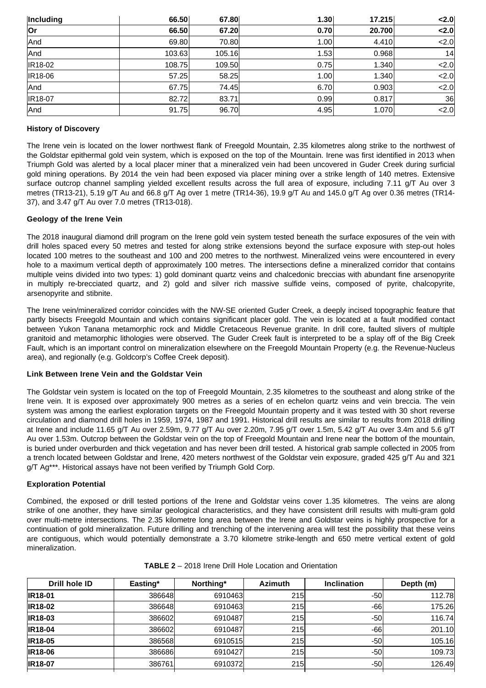| Including      | 66.50  | 67.80  | 1.30 | 17.215 | < 2.0          |
|----------------|--------|--------|------|--------|----------------|
| Or             | 66.50  | 67.20  | 0.70 | 20.700 | $\langle 2.0 $ |
| And            | 69.80  | 70.80  | 1.00 | 4.410  | 2.0            |
| And            | 103.63 | 105.16 | 1.53 | 0.968  | 14             |
| <b>IR18-02</b> | 108.75 | 109.50 | 0.75 | 1.340  | < 2.0          |
| <b>IR18-06</b> | 57.25  | 58.25  | 1.00 | 1.340  | 2.0            |
| And            | 67.75  | 74.45  | 6.70 | 0.903  | 2.0            |
| <b>IR18-07</b> | 82.72  | 83.71  | 0.99 | 0.817  | 36             |
| And            | 91.75  | 96.70  | 4.95 | 1.070  | 2.0            |

## **History of Discovery**

The Irene vein is located on the lower northwest flank of Freegold Mountain, 2.35 kilometres along strike to the northwest of the Goldstar epithermal gold vein system, which is exposed on the top of the Mountain. Irene was first identified in 2013 when Triumph Gold was alerted by a local placer miner that a mineralized vein had been uncovered in Guder Creek during surficial gold mining operations. By 2014 the vein had been exposed via placer mining over a strike length of 140 metres. Extensive surface outcrop channel sampling yielded excellent results across the full area of exposure, including 7.11 g/T Au over 3 metres (TR13-21), 5.19 g/T Au and 66.8 g/T Ag over 1 metre (TR14-36), 19.9 g/T Au and 145.0 g/T Ag over 0.36 metres (TR14- 37), and 3.47 g/T Au over 7.0 metres (TR13-018).

# **Geology of the Irene Vein**

The 2018 inaugural diamond drill program on the Irene gold vein system tested beneath the surface exposures of the vein with drill holes spaced every 50 metres and tested for along strike extensions beyond the surface exposure with step-out holes located 100 metres to the southeast and 100 and 200 metres to the northwest. Mineralized veins were encountered in every hole to a maximum vertical depth of approximately 100 metres. The intersections define a mineralized corridor that contains multiple veins divided into two types: 1) gold dominant quartz veins and chalcedonic breccias with abundant fine arsenopyrite in multiply re-brecciated quartz, and 2) gold and silver rich massive sulfide veins, composed of pyrite, chalcopyrite, arsenopyrite and stibnite.

The Irene vein/mineralized corridor coincides with the NW-SE oriented Guder Creek, a deeply incised topographic feature that partly bisects Freegold Mountain and which contains significant placer gold. The vein is located at a fault modified contact between Yukon Tanana metamorphic rock and Middle Cretaceous Revenue granite. In drill core, faulted slivers of multiple granitoid and metamorphic lithologies were observed. The Guder Creek fault is interpreted to be a splay off of the Big Creek Fault, which is an important control on mineralization elsewhere on the Freegold Mountain Property (e.g. the Revenue-Nucleus area), and regionally (e.g. Goldcorp's Coffee Creek deposit).

## **Link Between Irene Vein and the Goldstar Vein**

The Goldstar vein system is located on the top of Freegold Mountain, 2.35 kilometres to the southeast and along strike of the Irene vein. It is exposed over approximately 900 metres as a series of en echelon quartz veins and vein breccia. The vein system was among the earliest exploration targets on the Freegold Mountain property and it was tested with 30 short reverse circulation and diamond drill holes in 1959, 1974, 1987 and 1991. Historical drill results are similar to results from 2018 drilling at Irene and include 11.65 g/T Au over 2.59m, 9.77 g/T Au over 2.20m, 7.95 g/T over 1.5m, 5.42 g/T Au over 3.4m and 5.6 g/T Au over 1.53m. Outcrop between the Goldstar vein on the top of Freegold Mountain and Irene near the bottom of the mountain, is buried under overburden and thick vegetation and has never been drill tested. A historical grab sample collected in 2005 from a trench located between Goldstar and Irene, 420 meters northwest of the Goldstar vein exposure, graded 425 g/T Au and 321 g/T Ag\*\*\*. Historical assays have not been verified by Triumph Gold Corp.

## **Exploration Potential**

Combined, the exposed or drill tested portions of the Irene and Goldstar veins cover 1.35 kilometres. The veins are along strike of one another, they have similar geological characteristics, and they have consistent drill results with multi-gram gold over multi-metre intersections. The 2.35 kilometre long area between the Irene and Goldstar veins is highly prospective for a continuation of gold mineralization. Future drilling and trenching of the intervening area will test the possibility that these veins are contiguous, which would potentially demonstrate a 3.70 kilometre strike-length and 650 metre vertical extent of gold mineralization.

| Drill hole ID  | Easting* | Northing* | <b>Azimuth</b> | <b>Inclination</b> | Depth (m) |
|----------------|----------|-----------|----------------|--------------------|-----------|
| <b>IR18-01</b> | 386648   | 6910463   | 215            | $-50$              | 112.78    |
| <b>IR18-02</b> | 386648   | 6910463   | 215            | -661               | 175.26    |
| <b>IR18-03</b> | 386602   | 6910487   | 215            | -501               | 116.74    |
| <b>IR18-04</b> | 386602   | 6910487   | <b>215</b>     | -66l               | 201.10    |
| <b>IR18-05</b> | 386568   | 6910515   | 215            | -501               | 105.16    |
| <b>IR18-06</b> | 386686   | 6910427   | 215            | $-50$              | 109.73    |
| <b>IR18-07</b> | 386761   | 6910372   | 215            | -501               | 126.49    |
|                |          |           |                |                    |           |